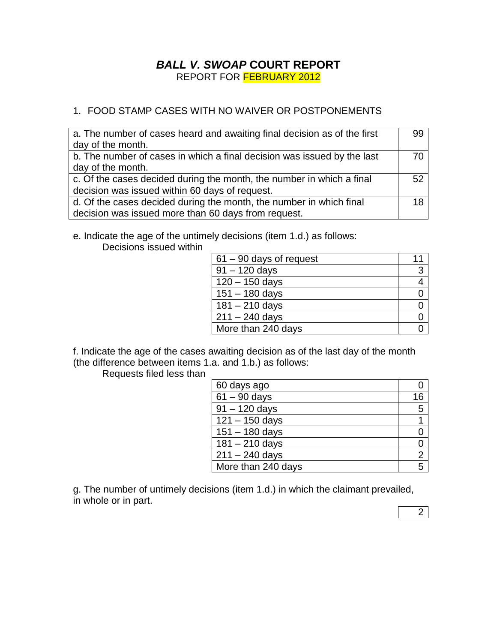## *BALL V. SWOAP* **COURT REPORT** REPORT FOR FEBRUARY 2012

## 1. FOOD STAMP CASES WITH NO WAIVER OR POSTPONEMENTS

| a. The number of cases heard and awaiting final decision as of the first<br>day of the month.                              | 99 |
|----------------------------------------------------------------------------------------------------------------------------|----|
| b. The number of cases in which a final decision was issued by the last<br>day of the month.                               | 70 |
| c. Of the cases decided during the month, the number in which a final<br>decision was issued within 60 days of request.    | 52 |
| d. Of the cases decided during the month, the number in which final<br>decision was issued more than 60 days from request. | 18 |

e. Indicate the age of the untimely decisions (item 1.d.) as follows:

Decisions issued within

| $61 - 90$ days of request |   |
|---------------------------|---|
| $91 - 120$ days           | 3 |
| $120 - 150$ days          |   |
| $151 - 180$ days          |   |
| $181 - 210$ days          |   |
| $211 - 240$ days          |   |
| More than 240 days        |   |

f. Indicate the age of the cases awaiting decision as of the last day of the month (the difference between items 1.a. and 1.b.) as follows:

Requests filed less than

| 60 days ago               |    |
|---------------------------|----|
| $\overline{61}$ – 90 days | 16 |
| $91 - 120$ days           | 5  |
| $121 - 150$ days          |    |
| $151 - 180$ days          |    |
| $181 - 210$ days          |    |
| $211 - 240$ days          | 2  |
| More than 240 days        | 5  |

g. The number of untimely decisions (item 1.d.) in which the claimant prevailed, in whole or in part.

2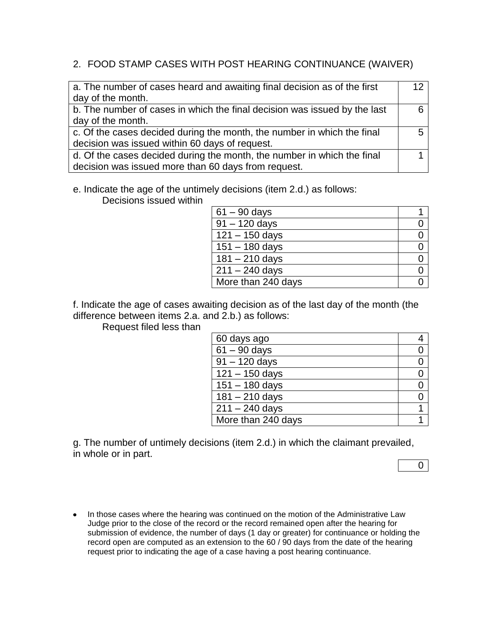### 2. FOOD STAMP CASES WITH POST HEARING CONTINUANCE (WAIVER)

| a. The number of cases heard and awaiting final decision as of the first  | 12 |
|---------------------------------------------------------------------------|----|
| day of the month.                                                         |    |
| b. The number of cases in which the final decision was issued by the last |    |
| day of the month.                                                         |    |
| c. Of the cases decided during the month, the number in which the final   |    |
| decision was issued within 60 days of request.                            |    |
| d. Of the cases decided during the month, the number in which the final   |    |
| decision was issued more than 60 days from request.                       |    |

e. Indicate the age of the untimely decisions (item 2.d.) as follows:

Decisions issued within

| $61 - 90$ days     |  |
|--------------------|--|
| $91 - 120$ days    |  |
| $121 - 150$ days   |  |
| $151 - 180$ days   |  |
| $181 - 210$ days   |  |
| $211 - 240$ days   |  |
| More than 240 days |  |

f. Indicate the age of cases awaiting decision as of the last day of the month (the difference between items 2.a. and 2.b.) as follows:

Request filed less than

| 60 days ago        |  |
|--------------------|--|
| $61 - 90$ days     |  |
| $91 - 120$ days    |  |
| $121 - 150$ days   |  |
| $151 - 180$ days   |  |
| $181 - 210$ days   |  |
| $211 - 240$ days   |  |
| More than 240 days |  |

g. The number of untimely decisions (item 2.d.) in which the claimant prevailed, in whole or in part.

 $\overline{0}$ 

• In those cases where the hearing was continued on the motion of the Administrative Law Judge prior to the close of the record or the record remained open after the hearing for submission of evidence, the number of days (1 day or greater) for continuance or holding the record open are computed as an extension to the 60 / 90 days from the date of the hearing request prior to indicating the age of a case having a post hearing continuance.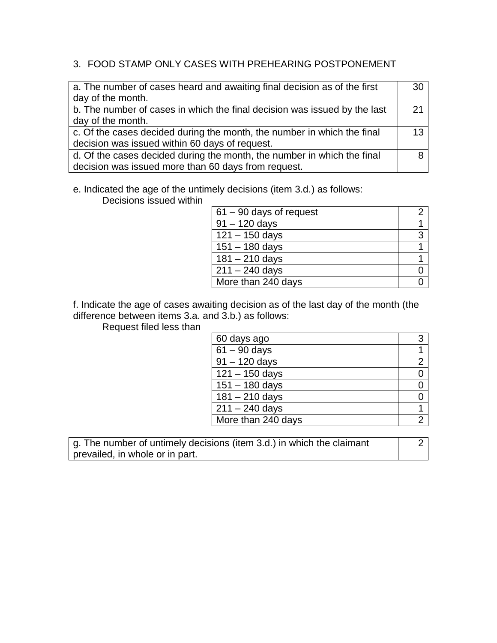### 3. FOOD STAMP ONLY CASES WITH PREHEARING POSTPONEMENT

| a. The number of cases heard and awaiting final decision as of the first  | 30 |
|---------------------------------------------------------------------------|----|
| day of the month.                                                         |    |
| b. The number of cases in which the final decision was issued by the last | 21 |
| day of the month.                                                         |    |
| c. Of the cases decided during the month, the number in which the final   | 13 |
| decision was issued within 60 days of request.                            |    |
| d. Of the cases decided during the month, the number in which the final   |    |
| decision was issued more than 60 days from request.                       |    |

# e. Indicated the age of the untimely decisions (item 3.d.) as follows:

Decisions issued within

| $61 - 90$ days of request |   |
|---------------------------|---|
| $91 - 120$ days           |   |
| $121 - 150$ days          | 3 |
| $151 - 180$ days          |   |
| $181 - 210$ days          |   |
| $211 - 240$ days          |   |
| More than 240 days        |   |

f. Indicate the age of cases awaiting decision as of the last day of the month (the difference between items 3.a. and 3.b.) as follows:

Request filed less than

| 60 days ago        | 3 |
|--------------------|---|
| $61 - 90$ days     |   |
| $91 - 120$ days    |   |
| $121 - 150$ days   |   |
| $151 - 180$ days   |   |
| $181 - 210$ days   |   |
| $211 - 240$ days   |   |
| More than 240 days |   |

g. The number of untimely decisions (item 3.d.) in which the claimant prevailed, in whole or in part.

2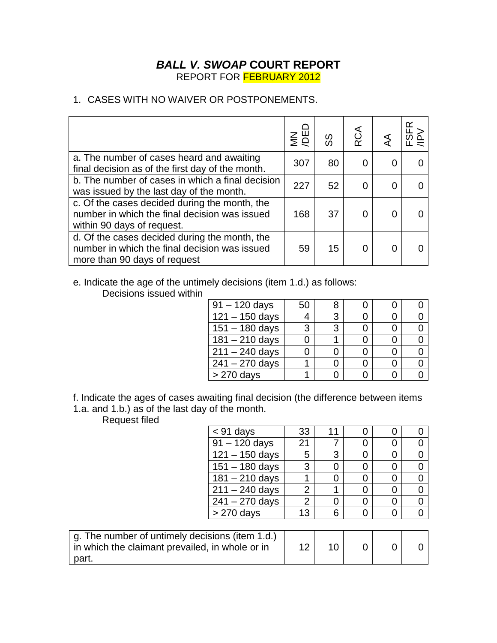## *BALL V. SWOAP* **COURT REPORT** REPORT FOR FEBRUARY 2012

### 1. CASES WITH NO WAIVER OR POSTPONEMENTS.

|                                                                                                                                | $\sum_{i=1}^{n}$ | တ္တ | RCA |   | ≃ |
|--------------------------------------------------------------------------------------------------------------------------------|------------------|-----|-----|---|---|
| a. The number of cases heard and awaiting<br>final decision as of the first day of the month.                                  | 307              | 80  |     |   |   |
| b. The number of cases in which a final decision<br>was issued by the last day of the month.                                   | 227              | 52  |     | 0 |   |
| c. Of the cases decided during the month, the<br>number in which the final decision was issued<br>within 90 days of request.   | 168              | 37  |     |   |   |
| d. Of the cases decided during the month, the<br>number in which the final decision was issued<br>more than 90 days of request | 59               | 15  |     |   |   |

e. Indicate the age of the untimely decisions (item 1.d.) as follows:

Decisions issued within

| $91 - 120$ days             | 50 |   |  |  |
|-----------------------------|----|---|--|--|
| $\overline{121} - 150$ days | 4  | 3 |  |  |
| $151 - 180$ days            | 3  | ঽ |  |  |
| $181 - 210$ days            |    |   |  |  |
| $211 - 240$ days            |    |   |  |  |
| $241 - 270$ days            |    |   |  |  |
| $> 270$ days                |    |   |  |  |

f. Indicate the ages of cases awaiting final decision (the difference between items 1.a. and 1.b.) as of the last day of the month.

Request filed

| Reduest liled                                   |                  |                |    |   |          |          |
|-------------------------------------------------|------------------|----------------|----|---|----------|----------|
|                                                 | $<$ 91 days      | 33             | 11 | 0 | O        | 0        |
|                                                 | $91 - 120$ days  | 21             |    | 0 | 0        | 0        |
|                                                 | $121 - 150$ days | 5              | 3  | 0 | 0        | 0        |
|                                                 | $151 - 180$ days | 3              | 0  | 0 | 0        | 0        |
|                                                 | $181 - 210$ days |                | 0  | 0 | 0        | 0        |
|                                                 | $211 - 240$ days | $\overline{2}$ |    | 0 | 0        | 0        |
|                                                 | $241 - 270$ days | $\overline{2}$ | 0  | 0 | 0        | $\Omega$ |
|                                                 | $> 270$ days     | 13             | 6  | 0 | 0        | $\Omega$ |
|                                                 |                  |                |    |   |          |          |
| g. The number of untimely decisions (item 1.d.) |                  |                |    |   |          |          |
| in which the claimant prevailed, in whole or in |                  | 12             | 10 | 0 | $\Omega$ | 0        |
| part.                                           |                  |                |    |   |          |          |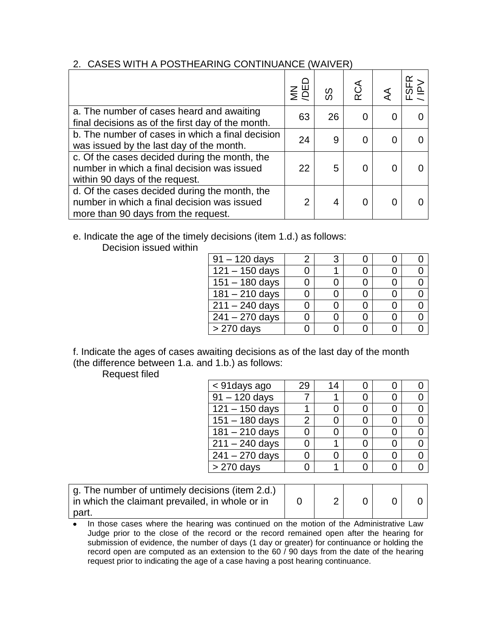#### 2. CASES WITH A POSTHEARING CONTINUANCE (WAIVER)

|                                                                                                                                     | $\epsilon$ | တ္တ | RCA |  |
|-------------------------------------------------------------------------------------------------------------------------------------|------------|-----|-----|--|
| a. The number of cases heard and awaiting<br>final decisions as of the first day of the month.                                      | 63         | 26  |     |  |
| b. The number of cases in which a final decision<br>was issued by the last day of the month.                                        | 24         | 9   |     |  |
| c. Of the cases decided during the month, the<br>number in which a final decision was issued<br>within 90 days of the request.      | 22         | 5   |     |  |
| d. Of the cases decided during the month, the<br>number in which a final decision was issued<br>more than 90 days from the request. | っ          |     |     |  |

## e. Indicate the age of the timely decisions (item 1.d.) as follows:

Decision issued within

| $91 - 120$ days         |  |  |  |
|-------------------------|--|--|--|
| $121 - 150$ days        |  |  |  |
| $151 - 180$ days        |  |  |  |
| $181 - 210$ days        |  |  |  |
| $\sqrt{211} - 240$ days |  |  |  |
| $241 - 270$ days        |  |  |  |
| > 270 days              |  |  |  |

f. Indicate the ages of cases awaiting decisions as of the last day of the month (the difference between 1.a. and 1.b.) as follows:

Request filed

| < 91 days ago    | 29 | 14 |  |  |
|------------------|----|----|--|--|
| $91 - 120$ days  |    |    |  |  |
| $121 - 150$ days |    |    |  |  |
| $151 - 180$ days |    |    |  |  |
| $181 - 210$ days |    |    |  |  |
| $211 - 240$ days |    |    |  |  |
| $241 - 270$ days |    |    |  |  |
| > 270 days       |    |    |  |  |

| g. The number of untimely decisions (item 2.d.)<br>in which the claimant prevailed, in whole or in |  |  |  |
|----------------------------------------------------------------------------------------------------|--|--|--|
| part.                                                                                              |  |  |  |

• In those cases where the hearing was continued on the motion of the Administrative Law Judge prior to the close of the record or the record remained open after the hearing for submission of evidence, the number of days (1 day or greater) for continuance or holding the record open are computed as an extension to the 60 / 90 days from the date of the hearing request prior to indicating the age of a case having a post hearing continuance.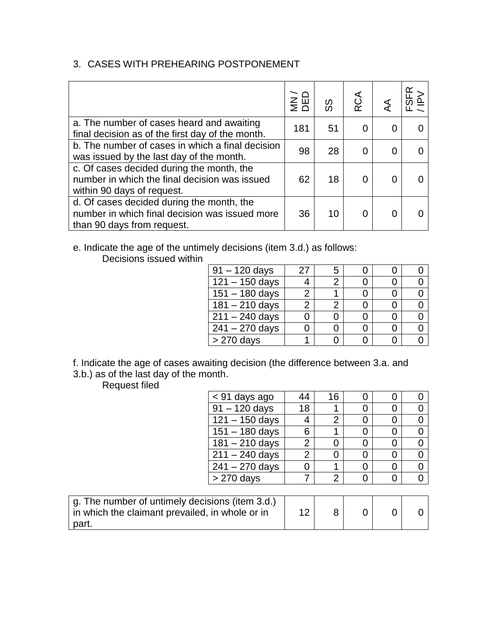## 3. CASES WITH PREHEARING POSTPONEMENT

|                                                                                                                           | $rac{1}{2}$ $rac{1}{2}$ | တ္တ | RCA |   |  |
|---------------------------------------------------------------------------------------------------------------------------|-------------------------|-----|-----|---|--|
| a. The number of cases heard and awaiting<br>final decision as of the first day of the month.                             | 181                     | 51  |     |   |  |
| b. The number of cases in which a final decision<br>was issued by the last day of the month.                              | 98                      | 28  |     | 0 |  |
| c. Of cases decided during the month, the<br>number in which the final decision was issued<br>within 90 days of request.  | 62                      | 18  |     |   |  |
| d. Of cases decided during the month, the<br>number in which final decision was issued more<br>than 90 days from request. | 36                      | 10  |     |   |  |

#### e. Indicate the age of the untimely decisions (item 3.d.) as follows: Decisions issued within

| $91 - 120$ days             | 27 | 5 |  |  |
|-----------------------------|----|---|--|--|
| $\overline{121} - 150$ days |    | 2 |  |  |
| $151 - 180$ days            |    |   |  |  |
| $181 - 210$ days            | 2  | 2 |  |  |
| $211 - 240$ days            |    |   |  |  |
| $241 - 270$ days            |    |   |  |  |
| $> 270$ days                |    |   |  |  |

f. Indicate the age of cases awaiting decision (the difference between 3.a. and 3.b.) as of the last day of the month.

Request filed

| < 91 days ago           | 44 | 16 |  |  |
|-------------------------|----|----|--|--|
| $91 - 120$ days         | 18 |    |  |  |
| $121 - 150$ days        |    |    |  |  |
| $151 - 180$ days        | 6  |    |  |  |
| $181 - 210$ days        |    |    |  |  |
| $\sqrt{211} - 240$ days |    |    |  |  |
| $241 - 270$ days        |    |    |  |  |
| $> 270$ days            |    |    |  |  |
|                         |    |    |  |  |

| g. The number of untimely decisions (item 3.d.)<br>in which the claimant prevailed, in whole or in |  |  |  |
|----------------------------------------------------------------------------------------------------|--|--|--|
| part.                                                                                              |  |  |  |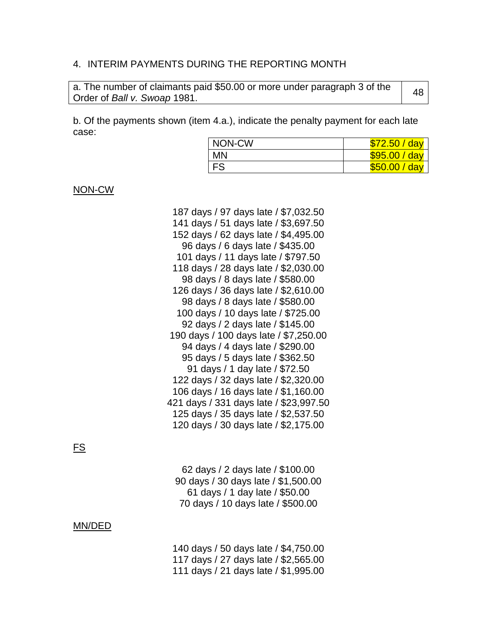#### 4. INTERIM PAYMENTS DURING THE REPORTING MONTH

a. The number of claimants paid \$50.00 or more under paragraph 3 of the a. The namber of clamants paid \$50.00 or more ander paragraph 5 or the 48<br>Order of *Ball v. Swoap* 1981.

b. Of the payments shown (item 4.a.), indicate the penalty payment for each late case:

| NON-CW     | \$72.50 / day |
|------------|---------------|
| MN         | \$95.00 / day |
| <b>IFS</b> | \$50.00 / day |

NON-CW

187 days / 97 days late / \$7,032.50 141 days / 51 days late / \$3,697.50 152 days / 62 days late / \$4,495.00 96 days / 6 days late / \$435.00 101 days / 11 days late / \$797.50 118 days / 28 days late / \$2,030.00 98 days / 8 days late / \$580.00 126 days / 36 days late / \$2,610.00 98 days / 8 days late / \$580.00 100 days / 10 days late / \$725.00 92 days / 2 days late / \$145.00 190 days / 100 days late / \$7,250.00 94 days / 4 days late / \$290.00 95 days / 5 days late / \$362.50 91 days / 1 day late / \$72.50 122 days / 32 days late / \$2,320.00 106 days / 16 days late / \$1,160.00 421 days / 331 days late / \$23,997.50 125 days / 35 days late / \$2,537.50 120 days / 30 days late / \$2,175.00

### FS

 days / 2 days late / \$100.00 days / 30 days late / \$1,500.00 days / 1 day late / \$50.00 days / 10 days late / \$500.00

#### MN/DED

140 days / 50 days late / \$4,750.00 117 days / 27 days late / \$2,565.00 111 days / 21 days late / \$1,995.00